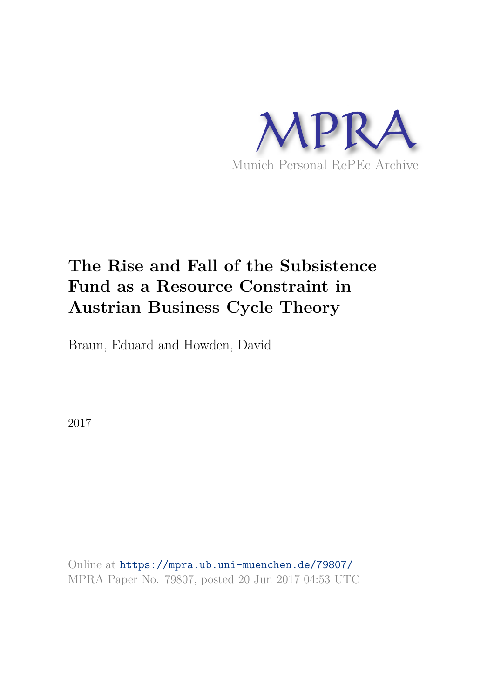

# **The Rise and Fall of the Subsistence Fund as a Resource Constraint in Austrian Business Cycle Theory**

Braun, Eduard and Howden, David

2017

Online at https://mpra.ub.uni-muenchen.de/79807/ MPRA Paper No. 79807, posted 20 Jun 2017 04:53 UTC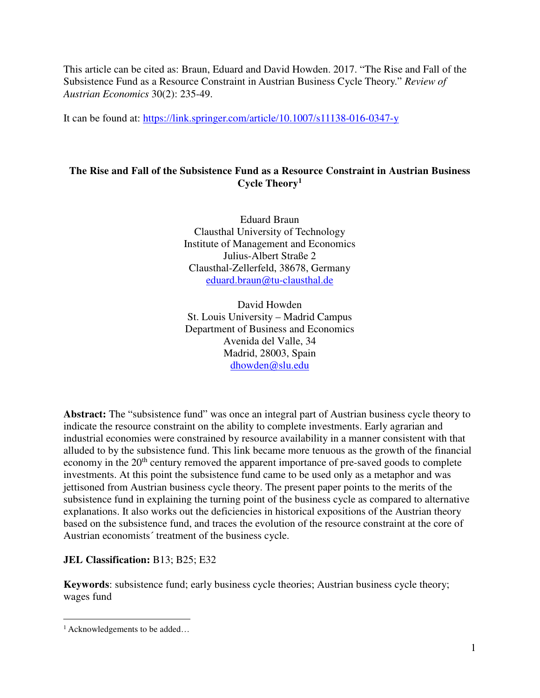This article can be cited as: Braun, Eduard and David Howden. 2017. "The Rise and Fall of the Subsistence Fund as a Resource Constraint in Austrian Business Cycle Theory." *Review of Austrian Economics* 30(2): 235-49.

It can be found at: https://link.springer.com/article/10.1007/s11138-016-0347-y

# **The Rise and Fall of the Subsistence Fund as a Resource Constraint in Austrian Business Cycle Theory<sup>1</sup>**

Eduard Braun Clausthal University of Technology Institute of Management and Economics Julius-Albert Straße 2 Clausthal-Zellerfeld, 38678, Germany eduard.braun@tu-clausthal.de

David Howden St. Louis University – Madrid Campus Department of Business and Economics Avenida del Valle, 34 Madrid, 28003, Spain dhowden@slu.edu

**Abstract:** The "subsistence fund" was once an integral part of Austrian business cycle theory to indicate the resource constraint on the ability to complete investments. Early agrarian and industrial economies were constrained by resource availability in a manner consistent with that alluded to by the subsistence fund. This link became more tenuous as the growth of the financial economy in the 20<sup>th</sup> century removed the apparent importance of pre-saved goods to complete investments. At this point the subsistence fund came to be used only as a metaphor and was jettisoned from Austrian business cycle theory. The present paper points to the merits of the subsistence fund in explaining the turning point of the business cycle as compared to alternative explanations. It also works out the deficiencies in historical expositions of the Austrian theory based on the subsistence fund, and traces the evolution of the resource constraint at the core of Austrian economists´ treatment of the business cycle.

# **JEL Classification:** B13; B25; E32

**Keywords**: subsistence fund; early business cycle theories; Austrian business cycle theory; wages fund

-

<sup>&</sup>lt;sup>1</sup> Acknowledgements to be added...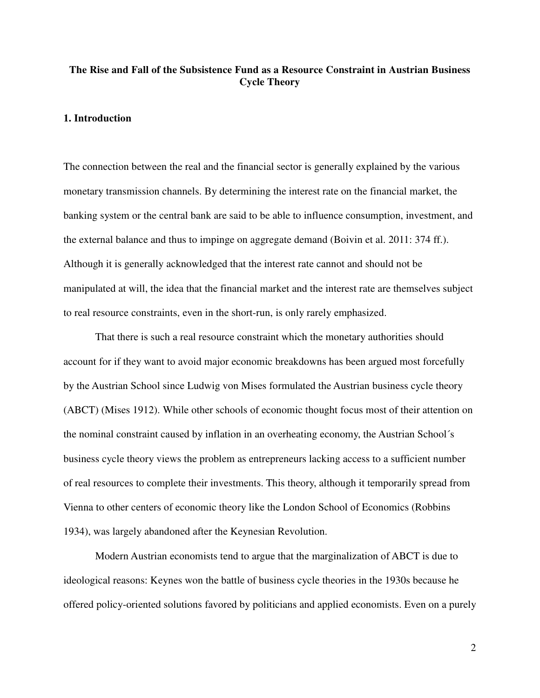## **The Rise and Fall of the Subsistence Fund as a Resource Constraint in Austrian Business Cycle Theory**

## **1. Introduction**

The connection between the real and the financial sector is generally explained by the various monetary transmission channels. By determining the interest rate on the financial market, the banking system or the central bank are said to be able to influence consumption, investment, and the external balance and thus to impinge on aggregate demand (Boivin et al. 2011: 374 ff.). Although it is generally acknowledged that the interest rate cannot and should not be manipulated at will, the idea that the financial market and the interest rate are themselves subject to real resource constraints, even in the short-run, is only rarely emphasized.

That there is such a real resource constraint which the monetary authorities should account for if they want to avoid major economic breakdowns has been argued most forcefully by the Austrian School since Ludwig von Mises formulated the Austrian business cycle theory (ABCT) (Mises 1912). While other schools of economic thought focus most of their attention on the nominal constraint caused by inflation in an overheating economy, the Austrian School´s business cycle theory views the problem as entrepreneurs lacking access to a sufficient number of real resources to complete their investments. This theory, although it temporarily spread from Vienna to other centers of economic theory like the London School of Economics (Robbins 1934), was largely abandoned after the Keynesian Revolution.

Modern Austrian economists tend to argue that the marginalization of ABCT is due to ideological reasons: Keynes won the battle of business cycle theories in the 1930s because he offered policy-oriented solutions favored by politicians and applied economists. Even on a purely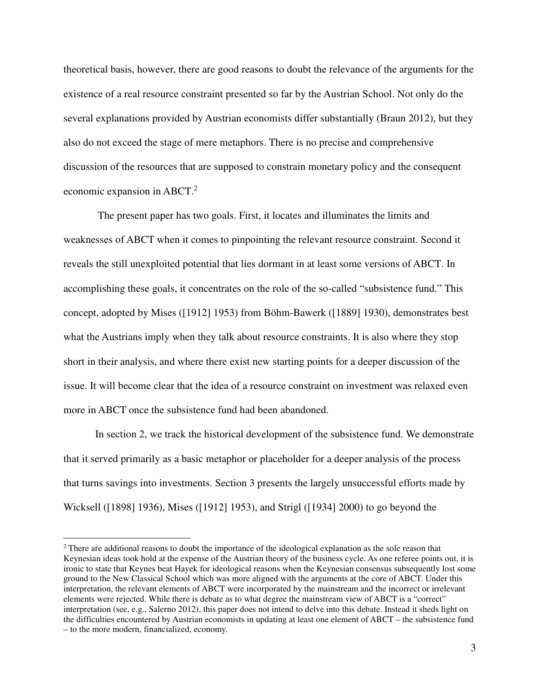theoretical basis, however, there are good reasons to doubt the relevance of the arguments for the existence of a real resource constraint presented so far by the Austrian School. Not only do the several explanations provided by Austrian economists differ substantially (Braun 2012), but they also do not exceed the stage of mere metaphors. There is no precise and comprehensive discussion of the resources that are supposed to constrain monetary policy and the consequent economic expansion in ABCT.<sup>2</sup>

 The present paper has two goals. First, it locates and illuminates the limits and weaknesses of ABCT when it comes to pinpointing the relevant resource constraint. Second it reveals the still unexploited potential that lies dormant in at least some versions of ABCT. In accomplishing these goals, it concentrates on the role of the so-called "subsistence fund." This concept, adopted by Mises ([1912] 1953) from Böhm-Bawerk ([1889] 1930), demonstrates best what the Austrians imply when they talk about resource constraints. It is also where they stop short in their analysis, and where there exist new starting points for a deeper discussion of the issue. It will become clear that the idea of a resource constraint on investment was relaxed even more in ABCT once the subsistence fund had been abandoned.

In section 2, we track the historical development of the subsistence fund. We demonstrate that it served primarily as a basic metaphor or placeholder for a deeper analysis of the process that turns savings into investments. Section 3 presents the largely unsuccessful efforts made by Wicksell ([1898] 1936), Mises ([1912] 1953), and Strigl ([1934] 2000) to go beyond the

<u>.</u>

<sup>&</sup>lt;sup>2</sup> There are additional reasons to doubt the importance of the ideological explanation as the sole reason that Keynesian ideas took hold at the expense of the Austrian theory of the business cycle. As one referee points out, it is ironic to state that Keynes beat Hayek for ideological reasons when the Keynesian consensus subsequently lost some ground to the New Classical School which was more aligned with the arguments at the core of ABCT. Under this interpretation, the relevant elements of ABCT were incorporated by the mainstream and the incorrect or irrelevant elements were rejected. While there is debate as to what degree the mainstream view of ABCT is a "correct" interpretation (see, e.g., Salerno 2012), this paper does not intend to delve into this debate. Instead it sheds light on the difficulties encountered by Austrian economists in updating at least one element of ABCT – the subsistence fund – to the more modern, financialized, economy.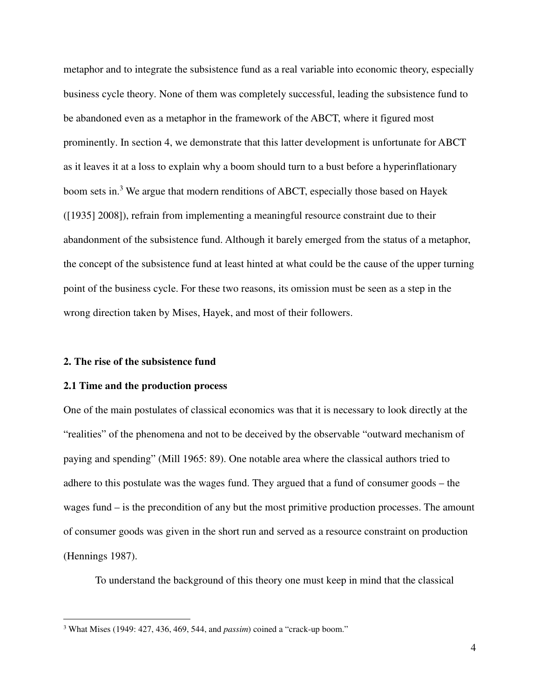metaphor and to integrate the subsistence fund as a real variable into economic theory, especially business cycle theory. None of them was completely successful, leading the subsistence fund to be abandoned even as a metaphor in the framework of the ABCT, where it figured most prominently. In section 4, we demonstrate that this latter development is unfortunate for ABCT as it leaves it at a loss to explain why a boom should turn to a bust before a hyperinflationary boom sets in.<sup>3</sup> We argue that modern renditions of ABCT, especially those based on Hayek ([1935] 2008]), refrain from implementing a meaningful resource constraint due to their abandonment of the subsistence fund. Although it barely emerged from the status of a metaphor, the concept of the subsistence fund at least hinted at what could be the cause of the upper turning point of the business cycle. For these two reasons, its omission must be seen as a step in the wrong direction taken by Mises, Hayek, and most of their followers.

#### **2. The rise of the subsistence fund**

 $\overline{a}$ 

#### **2.1 Time and the production process**

One of the main postulates of classical economics was that it is necessary to look directly at the "realities" of the phenomena and not to be deceived by the observable "outward mechanism of paying and spending" (Mill 1965: 89). One notable area where the classical authors tried to adhere to this postulate was the wages fund. They argued that a fund of consumer goods – the wages fund – is the precondition of any but the most primitive production processes. The amount of consumer goods was given in the short run and served as a resource constraint on production (Hennings 1987).

To understand the background of this theory one must keep in mind that the classical

<sup>3</sup> What Mises (1949: 427, 436, 469, 544, and *passim*) coined a "crack-up boom."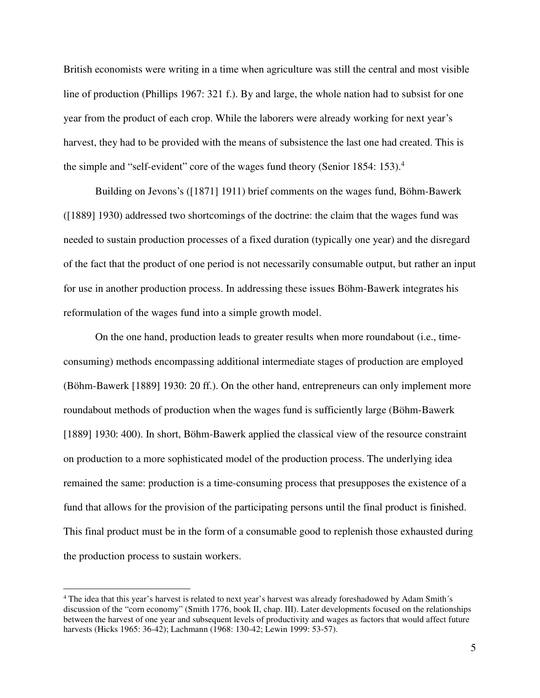British economists were writing in a time when agriculture was still the central and most visible line of production (Phillips 1967: 321 f.). By and large, the whole nation had to subsist for one year from the product of each crop. While the laborers were already working for next year's harvest, they had to be provided with the means of subsistence the last one had created. This is the simple and "self-evident" core of the wages fund theory (Senior 1854: 153).<sup>4</sup>

Building on Jevons's ([1871] 1911) brief comments on the wages fund, Böhm-Bawerk ([1889] 1930) addressed two shortcomings of the doctrine: the claim that the wages fund was needed to sustain production processes of a fixed duration (typically one year) and the disregard of the fact that the product of one period is not necessarily consumable output, but rather an input for use in another production process. In addressing these issues Böhm-Bawerk integrates his reformulation of the wages fund into a simple growth model.

On the one hand, production leads to greater results when more roundabout (i.e., timeconsuming) methods encompassing additional intermediate stages of production are employed (Böhm-Bawerk [1889] 1930: 20 ff.). On the other hand, entrepreneurs can only implement more roundabout methods of production when the wages fund is sufficiently large (Böhm-Bawerk [1889] 1930: 400). In short, Böhm-Bawerk applied the classical view of the resource constraint on production to a more sophisticated model of the production process. The underlying idea remained the same: production is a time-consuming process that presupposes the existence of a fund that allows for the provision of the participating persons until the final product is finished. This final product must be in the form of a consumable good to replenish those exhausted during the production process to sustain workers.

-

<sup>&</sup>lt;sup>4</sup> The idea that this year's harvest is related to next year's harvest was already foreshadowed by Adam Smith's discussion of the "corn economy" (Smith 1776, book II, chap. III). Later developments focused on the relationships between the harvest of one year and subsequent levels of productivity and wages as factors that would affect future harvests (Hicks 1965: 36-42); Lachmann (1968: 130-42; Lewin 1999: 53-57).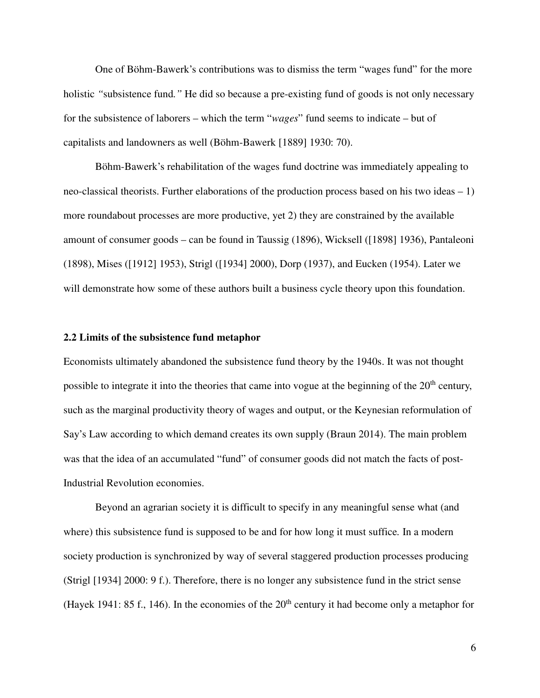One of Böhm-Bawerk's contributions was to dismiss the term "wages fund" for the more holistic *"*subsistence fund*."* He did so because a pre-existing fund of goods is not only necessary for the subsistence of laborers – which the term "*wages*" fund seems to indicate – but of capitalists and landowners as well (Böhm-Bawerk [1889] 1930: 70).

Böhm-Bawerk's rehabilitation of the wages fund doctrine was immediately appealing to neo-classical theorists. Further elaborations of the production process based on his two ideas – 1) more roundabout processes are more productive, yet 2) they are constrained by the available amount of consumer goods – can be found in Taussig (1896), Wicksell ([1898] 1936), Pantaleoni (1898), Mises ([1912] 1953), Strigl ([1934] 2000), Dorp (1937), and Eucken (1954). Later we will demonstrate how some of these authors built a business cycle theory upon this foundation.

#### **2.2 Limits of the subsistence fund metaphor**

Economists ultimately abandoned the subsistence fund theory by the 1940s. It was not thought possible to integrate it into the theories that came into vogue at the beginning of the  $20<sup>th</sup>$  century, such as the marginal productivity theory of wages and output, or the Keynesian reformulation of Say's Law according to which demand creates its own supply (Braun 2014). The main problem was that the idea of an accumulated "fund" of consumer goods did not match the facts of post-Industrial Revolution economies.

Beyond an agrarian society it is difficult to specify in any meaningful sense what (and where) this subsistence fund is supposed to be and for how long it must suffice*.* In a modern society production is synchronized by way of several staggered production processes producing (Strigl [1934] 2000: 9 f.). Therefore, there is no longer any subsistence fund in the strict sense (Hayek 1941: 85 f., 146). In the economies of the  $20<sup>th</sup>$  century it had become only a metaphor for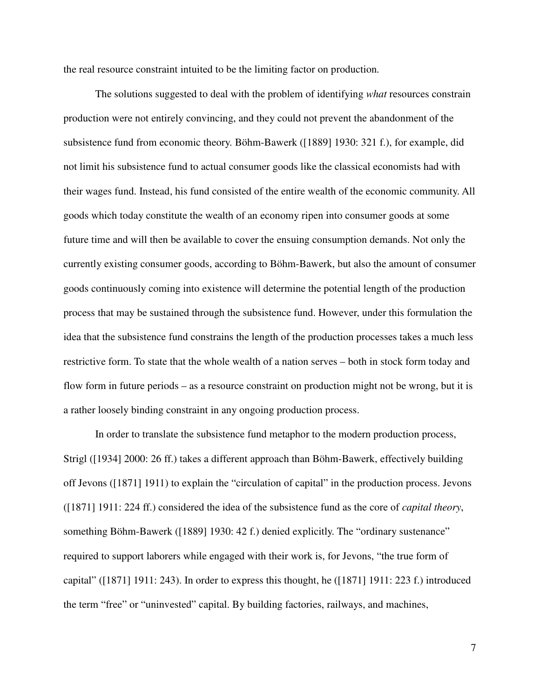the real resource constraint intuited to be the limiting factor on production*.*

The solutions suggested to deal with the problem of identifying *what* resources constrain production were not entirely convincing, and they could not prevent the abandonment of the subsistence fund from economic theory. Böhm-Bawerk ([1889] 1930: 321 f.), for example, did not limit his subsistence fund to actual consumer goods like the classical economists had with their wages fund. Instead, his fund consisted of the entire wealth of the economic community. All goods which today constitute the wealth of an economy ripen into consumer goods at some future time and will then be available to cover the ensuing consumption demands. Not only the currently existing consumer goods, according to Böhm-Bawerk, but also the amount of consumer goods continuously coming into existence will determine the potential length of the production process that may be sustained through the subsistence fund. However, under this formulation the idea that the subsistence fund constrains the length of the production processes takes a much less restrictive form. To state that the whole wealth of a nation serves – both in stock form today and flow form in future periods – as a resource constraint on production might not be wrong, but it is a rather loosely binding constraint in any ongoing production process.

In order to translate the subsistence fund metaphor to the modern production process, Strigl ([1934] 2000: 26 ff.) takes a different approach than Böhm-Bawerk, effectively building off Jevons ([1871] 1911) to explain the "circulation of capital" in the production process. Jevons ([1871] 1911: 224 ff.) considered the idea of the subsistence fund as the core of *capital theory*, something Böhm-Bawerk ([1889] 1930: 42 f.) denied explicitly. The "ordinary sustenance" required to support laborers while engaged with their work is, for Jevons, "the true form of capital" ([1871] 1911: 243). In order to express this thought, he ([1871] 1911: 223 f.) introduced the term "free" or "uninvested" capital. By building factories, railways, and machines,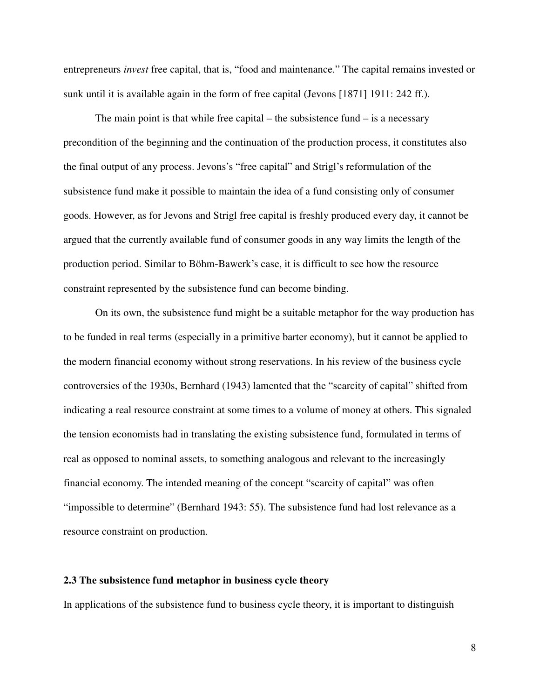entrepreneurs *invest* free capital, that is, "food and maintenance." The capital remains invested or sunk until it is available again in the form of free capital (Jevons [1871] 1911: 242 ff.).

The main point is that while free capital – the subsistence fund  $-$  is a necessary precondition of the beginning and the continuation of the production process, it constitutes also the final output of any process. Jevons's "free capital" and Strigl's reformulation of the subsistence fund make it possible to maintain the idea of a fund consisting only of consumer goods. However, as for Jevons and Strigl free capital is freshly produced every day, it cannot be argued that the currently available fund of consumer goods in any way limits the length of the production period. Similar to Böhm-Bawerk's case, it is difficult to see how the resource constraint represented by the subsistence fund can become binding.

On its own, the subsistence fund might be a suitable metaphor for the way production has to be funded in real terms (especially in a primitive barter economy), but it cannot be applied to the modern financial economy without strong reservations. In his review of the business cycle controversies of the 1930s, Bernhard (1943) lamented that the "scarcity of capital" shifted from indicating a real resource constraint at some times to a volume of money at others. This signaled the tension economists had in translating the existing subsistence fund, formulated in terms of real as opposed to nominal assets, to something analogous and relevant to the increasingly financial economy. The intended meaning of the concept "scarcity of capital" was often "impossible to determine" (Bernhard 1943: 55). The subsistence fund had lost relevance as a resource constraint on production.

#### **2.3 The subsistence fund metaphor in business cycle theory**

In applications of the subsistence fund to business cycle theory, it is important to distinguish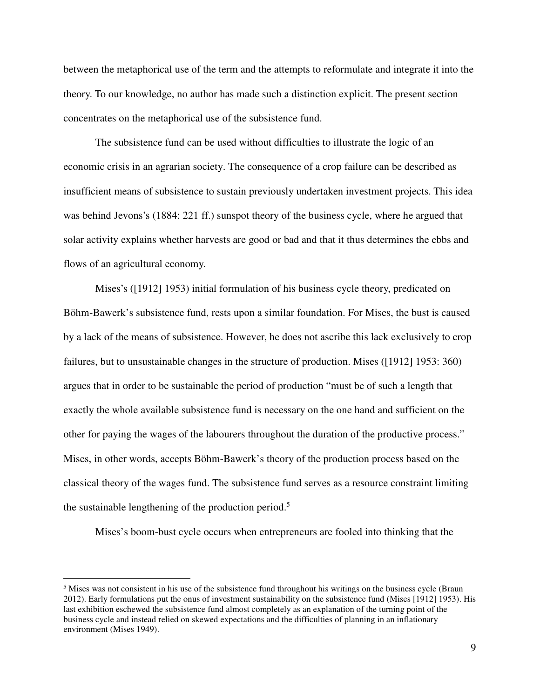between the metaphorical use of the term and the attempts to reformulate and integrate it into the theory. To our knowledge, no author has made such a distinction explicit. The present section concentrates on the metaphorical use of the subsistence fund.

The subsistence fund can be used without difficulties to illustrate the logic of an economic crisis in an agrarian society. The consequence of a crop failure can be described as insufficient means of subsistence to sustain previously undertaken investment projects. This idea was behind Jevons's (1884: 221 ff.) sunspot theory of the business cycle, where he argued that solar activity explains whether harvests are good or bad and that it thus determines the ebbs and flows of an agricultural economy.

Mises's ([1912] 1953) initial formulation of his business cycle theory, predicated on Böhm-Bawerk's subsistence fund, rests upon a similar foundation. For Mises, the bust is caused by a lack of the means of subsistence. However, he does not ascribe this lack exclusively to crop failures, but to unsustainable changes in the structure of production. Mises ([1912] 1953: 360) argues that in order to be sustainable the period of production "must be of such a length that exactly the whole available subsistence fund is necessary on the one hand and sufficient on the other for paying the wages of the labourers throughout the duration of the productive process." Mises, in other words, accepts Böhm-Bawerk's theory of the production process based on the classical theory of the wages fund. The subsistence fund serves as a resource constraint limiting the sustainable lengthening of the production period.<sup>5</sup>

Mises's boom-bust cycle occurs when entrepreneurs are fooled into thinking that the

-

<sup>&</sup>lt;sup>5</sup> Mises was not consistent in his use of the subsistence fund throughout his writings on the business cycle (Braun 2012). Early formulations put the onus of investment sustainability on the subsistence fund (Mises [1912] 1953). His last exhibition eschewed the subsistence fund almost completely as an explanation of the turning point of the business cycle and instead relied on skewed expectations and the difficulties of planning in an inflationary environment (Mises 1949).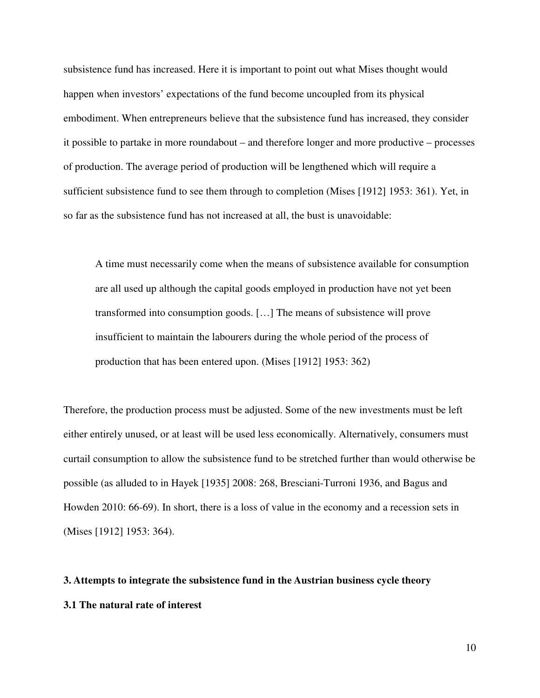subsistence fund has increased. Here it is important to point out what Mises thought would happen when investors' expectations of the fund become uncoupled from its physical embodiment. When entrepreneurs believe that the subsistence fund has increased, they consider it possible to partake in more roundabout – and therefore longer and more productive – processes of production. The average period of production will be lengthened which will require a sufficient subsistence fund to see them through to completion (Mises [1912] 1953: 361). Yet, in so far as the subsistence fund has not increased at all, the bust is unavoidable:

A time must necessarily come when the means of subsistence available for consumption are all used up although the capital goods employed in production have not yet been transformed into consumption goods. […] The means of subsistence will prove insufficient to maintain the labourers during the whole period of the process of production that has been entered upon. (Mises [1912] 1953: 362)

Therefore, the production process must be adjusted. Some of the new investments must be left either entirely unused, or at least will be used less economically. Alternatively, consumers must curtail consumption to allow the subsistence fund to be stretched further than would otherwise be possible (as alluded to in Hayek [1935] 2008: 268, Bresciani-Turroni 1936, and Bagus and Howden 2010: 66-69). In short, there is a loss of value in the economy and a recession sets in (Mises [1912] 1953: 364).

# **3. Attempts to integrate the subsistence fund in the Austrian business cycle theory 3.1 The natural rate of interest**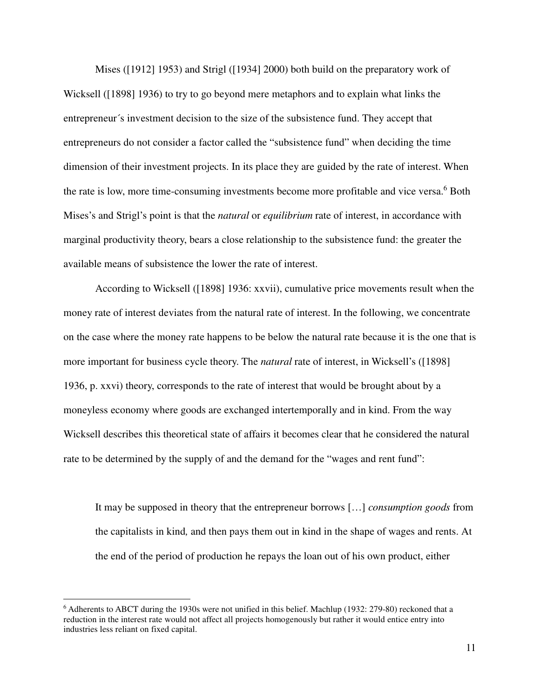Mises ([1912] 1953) and Strigl ([1934] 2000) both build on the preparatory work of Wicksell ([1898] 1936) to try to go beyond mere metaphors and to explain what links the entrepreneur´s investment decision to the size of the subsistence fund. They accept that entrepreneurs do not consider a factor called the "subsistence fund" when deciding the time dimension of their investment projects. In its place they are guided by the rate of interest. When the rate is low, more time-consuming investments become more profitable and vice versa.<sup>6</sup> Both Mises's and Strigl's point is that the *natural* or *equilibrium* rate of interest, in accordance with marginal productivity theory, bears a close relationship to the subsistence fund: the greater the available means of subsistence the lower the rate of interest.

According to Wicksell ([1898] 1936: xxvii), cumulative price movements result when the money rate of interest deviates from the natural rate of interest. In the following, we concentrate on the case where the money rate happens to be below the natural rate because it is the one that is more important for business cycle theory. The *natural* rate of interest, in Wicksell's ([1898] 1936, p. xxvi) theory, corresponds to the rate of interest that would be brought about by a moneyless economy where goods are exchanged intertemporally and in kind. From the way Wicksell describes this theoretical state of affairs it becomes clear that he considered the natural rate to be determined by the supply of and the demand for the "wages and rent fund":

It may be supposed in theory that the entrepreneur borrows […] *consumption goods* from the capitalists in kind*,* and then pays them out in kind in the shape of wages and rents. At the end of the period of production he repays the loan out of his own product, either

<u>.</u>

<sup>&</sup>lt;sup>6</sup> Adherents to ABCT during the 1930s were not unified in this belief. Machlup (1932: 279-80) reckoned that a reduction in the interest rate would not affect all projects homogenously but rather it would entice entry into industries less reliant on fixed capital.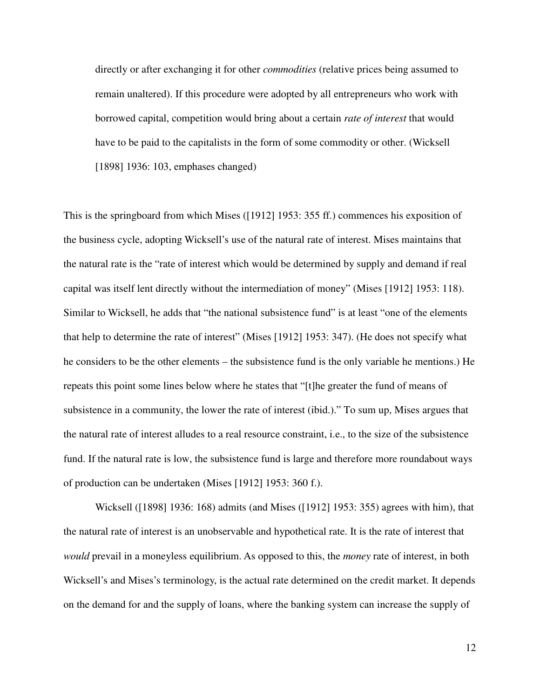directly or after exchanging it for other *commodities* (relative prices being assumed to remain unaltered). If this procedure were adopted by all entrepreneurs who work with borrowed capital, competition would bring about a certain *rate of interest* that would have to be paid to the capitalists in the form of some commodity or other. (Wicksell [1898] 1936: 103, emphases changed)

This is the springboard from which Mises ([1912] 1953: 355 ff.) commences his exposition of the business cycle, adopting Wicksell's use of the natural rate of interest. Mises maintains that the natural rate is the "rate of interest which would be determined by supply and demand if real capital was itself lent directly without the intermediation of money" (Mises [1912] 1953: 118). Similar to Wicksell, he adds that "the national subsistence fund" is at least "one of the elements that help to determine the rate of interest" (Mises [1912] 1953: 347). (He does not specify what he considers to be the other elements – the subsistence fund is the only variable he mentions.) He repeats this point some lines below where he states that "[t]he greater the fund of means of subsistence in a community, the lower the rate of interest (ibid.)." To sum up, Mises argues that the natural rate of interest alludes to a real resource constraint, i.e., to the size of the subsistence fund. If the natural rate is low, the subsistence fund is large and therefore more roundabout ways of production can be undertaken (Mises [1912] 1953: 360 f.).

Wicksell ([1898] 1936: 168) admits (and Mises ([1912] 1953: 355) agrees with him), that the natural rate of interest is an unobservable and hypothetical rate. It is the rate of interest that *would* prevail in a moneyless equilibrium. As opposed to this, the *money* rate of interest, in both Wicksell's and Mises's terminology, is the actual rate determined on the credit market. It depends on the demand for and the supply of loans, where the banking system can increase the supply of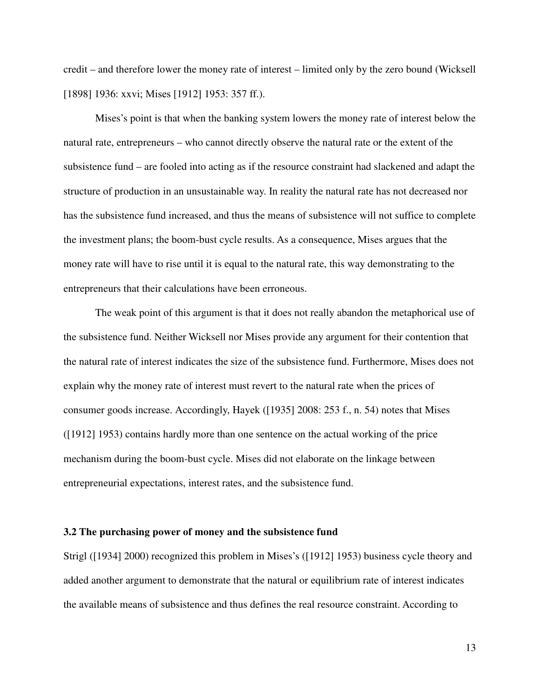credit – and therefore lower the money rate of interest – limited only by the zero bound (Wicksell [1898] 1936: xxvi; Mises [1912] 1953: 357 ff.).

Mises's point is that when the banking system lowers the money rate of interest below the natural rate, entrepreneurs – who cannot directly observe the natural rate or the extent of the subsistence fund – are fooled into acting as if the resource constraint had slackened and adapt the structure of production in an unsustainable way. In reality the natural rate has not decreased nor has the subsistence fund increased, and thus the means of subsistence will not suffice to complete the investment plans; the boom-bust cycle results. As a consequence, Mises argues that the money rate will have to rise until it is equal to the natural rate, this way demonstrating to the entrepreneurs that their calculations have been erroneous.

The weak point of this argument is that it does not really abandon the metaphorical use of the subsistence fund. Neither Wicksell nor Mises provide any argument for their contention that the natural rate of interest indicates the size of the subsistence fund. Furthermore, Mises does not explain why the money rate of interest must revert to the natural rate when the prices of consumer goods increase. Accordingly, Hayek ([1935] 2008: 253 f., n. 54) notes that Mises ([1912] 1953) contains hardly more than one sentence on the actual working of the price mechanism during the boom-bust cycle. Mises did not elaborate on the linkage between entrepreneurial expectations, interest rates, and the subsistence fund.

#### **3.2 The purchasing power of money and the subsistence fund**

Strigl ([1934] 2000) recognized this problem in Mises's ([1912] 1953) business cycle theory and added another argument to demonstrate that the natural or equilibrium rate of interest indicates the available means of subsistence and thus defines the real resource constraint. According to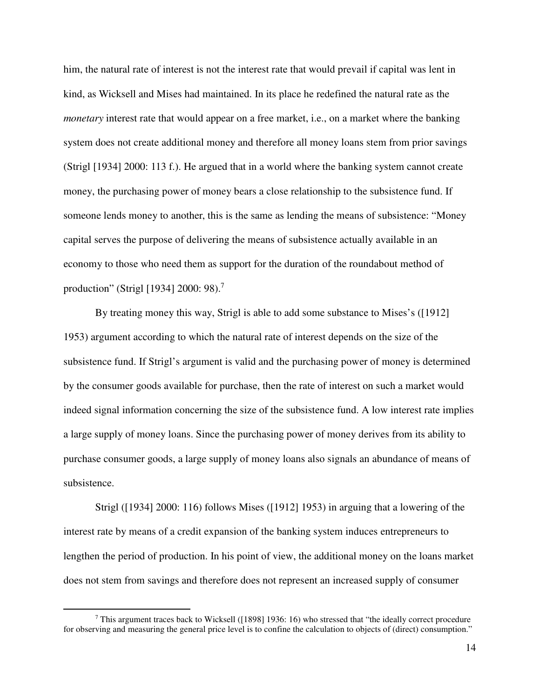him, the natural rate of interest is not the interest rate that would prevail if capital was lent in kind, as Wicksell and Mises had maintained. In its place he redefined the natural rate as the *monetary* interest rate that would appear on a free market, i.e., on a market where the banking system does not create additional money and therefore all money loans stem from prior savings (Strigl [1934] 2000: 113 f.). He argued that in a world where the banking system cannot create money, the purchasing power of money bears a close relationship to the subsistence fund. If someone lends money to another, this is the same as lending the means of subsistence: "Money capital serves the purpose of delivering the means of subsistence actually available in an economy to those who need them as support for the duration of the roundabout method of production" (Strigl [1934] 2000: 98).<sup>7</sup>

By treating money this way, Strigl is able to add some substance to Mises's ([1912] 1953) argument according to which the natural rate of interest depends on the size of the subsistence fund. If Strigl's argument is valid and the purchasing power of money is determined by the consumer goods available for purchase, then the rate of interest on such a market would indeed signal information concerning the size of the subsistence fund. A low interest rate implies a large supply of money loans. Since the purchasing power of money derives from its ability to purchase consumer goods, a large supply of money loans also signals an abundance of means of subsistence.

Strigl ([1934] 2000: 116) follows Mises ([1912] 1953) in arguing that a lowering of the interest rate by means of a credit expansion of the banking system induces entrepreneurs to lengthen the period of production. In his point of view, the additional money on the loans market does not stem from savings and therefore does not represent an increased supply of consumer

 $\overline{a}$ 

<sup>&</sup>lt;sup>7</sup> This argument traces back to Wicksell ([1898] 1936: 16) who stressed that "the ideally correct procedure for observing and measuring the general price level is to confine the calculation to objects of (direct) consumption."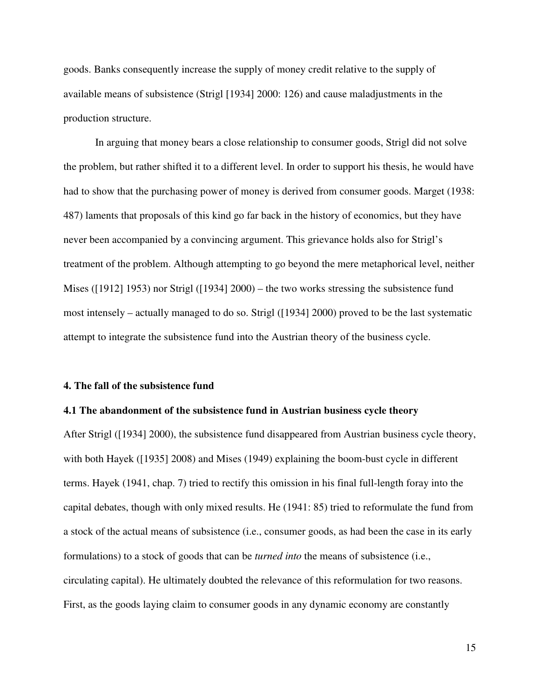goods. Banks consequently increase the supply of money credit relative to the supply of available means of subsistence (Strigl [1934] 2000: 126) and cause maladjustments in the production structure.

In arguing that money bears a close relationship to consumer goods, Strigl did not solve the problem, but rather shifted it to a different level. In order to support his thesis, he would have had to show that the purchasing power of money is derived from consumer goods. Marget (1938: 487) laments that proposals of this kind go far back in the history of economics, but they have never been accompanied by a convincing argument. This grievance holds also for Strigl's treatment of the problem. Although attempting to go beyond the mere metaphorical level, neither Mises ([1912] 1953) nor Strigl ([1934] 2000) – the two works stressing the subsistence fund most intensely – actually managed to do so. Strigl ([1934] 2000) proved to be the last systematic attempt to integrate the subsistence fund into the Austrian theory of the business cycle.

#### **4. The fall of the subsistence fund**

#### **4.1 The abandonment of the subsistence fund in Austrian business cycle theory**

After Strigl ([1934] 2000), the subsistence fund disappeared from Austrian business cycle theory, with both Hayek ([1935] 2008) and Mises (1949) explaining the boom-bust cycle in different terms. Hayek (1941, chap. 7) tried to rectify this omission in his final full-length foray into the capital debates, though with only mixed results. He (1941: 85) tried to reformulate the fund from a stock of the actual means of subsistence (i.e., consumer goods, as had been the case in its early formulations) to a stock of goods that can be *turned into* the means of subsistence (i.e., circulating capital). He ultimately doubted the relevance of this reformulation for two reasons. First, as the goods laying claim to consumer goods in any dynamic economy are constantly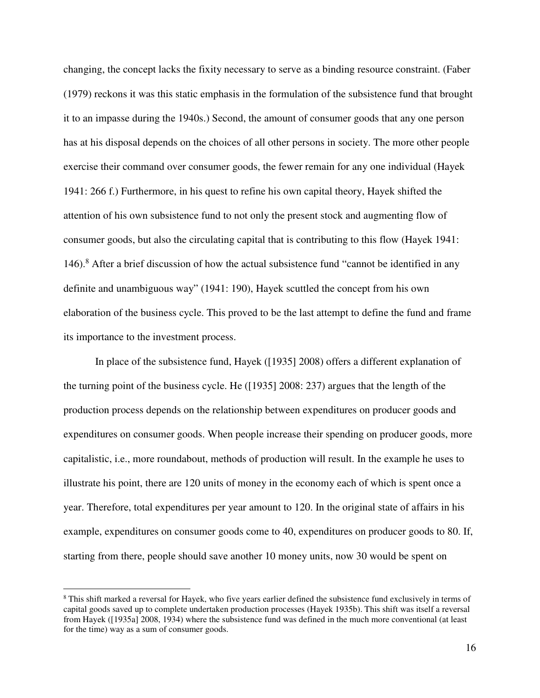changing, the concept lacks the fixity necessary to serve as a binding resource constraint. (Faber (1979) reckons it was this static emphasis in the formulation of the subsistence fund that brought it to an impasse during the 1940s.) Second, the amount of consumer goods that any one person has at his disposal depends on the choices of all other persons in society. The more other people exercise their command over consumer goods, the fewer remain for any one individual (Hayek 1941: 266 f.) Furthermore, in his quest to refine his own capital theory, Hayek shifted the attention of his own subsistence fund to not only the present stock and augmenting flow of consumer goods, but also the circulating capital that is contributing to this flow (Hayek 1941: 146).<sup>8</sup> After a brief discussion of how the actual subsistence fund "cannot be identified in any definite and unambiguous way" (1941: 190), Hayek scuttled the concept from his own elaboration of the business cycle. This proved to be the last attempt to define the fund and frame its importance to the investment process.

In place of the subsistence fund, Hayek ([1935] 2008) offers a different explanation of the turning point of the business cycle. He ([1935] 2008: 237) argues that the length of the production process depends on the relationship between expenditures on producer goods and expenditures on consumer goods. When people increase their spending on producer goods, more capitalistic, i.e., more roundabout, methods of production will result. In the example he uses to illustrate his point, there are 120 units of money in the economy each of which is spent once a year. Therefore, total expenditures per year amount to 120. In the original state of affairs in his example, expenditures on consumer goods come to 40, expenditures on producer goods to 80. If, starting from there, people should save another 10 money units, now 30 would be spent on

 $\overline{a}$ 

<sup>&</sup>lt;sup>8</sup> This shift marked a reversal for Hayek, who five years earlier defined the subsistence fund exclusively in terms of capital goods saved up to complete undertaken production processes (Hayek 1935b). This shift was itself a reversal from Hayek ([1935a] 2008, 1934) where the subsistence fund was defined in the much more conventional (at least for the time) way as a sum of consumer goods.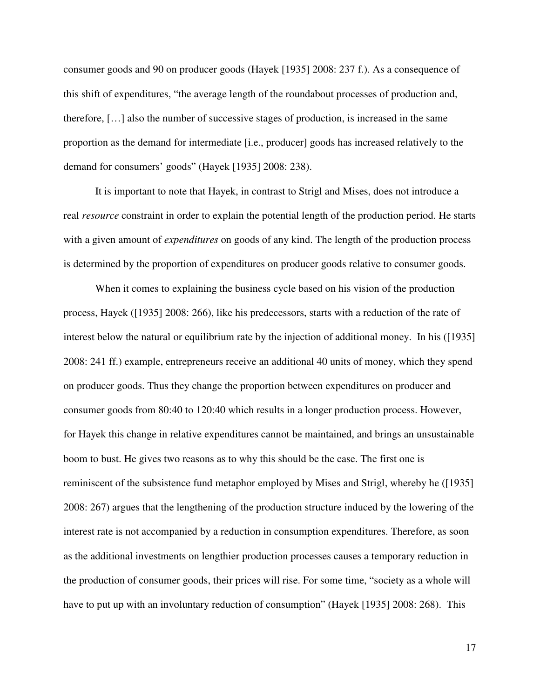consumer goods and 90 on producer goods (Hayek [1935] 2008: 237 f.). As a consequence of this shift of expenditures, "the average length of the roundabout processes of production and, therefore, […] also the number of successive stages of production, is increased in the same proportion as the demand for intermediate [i.e., producer] goods has increased relatively to the demand for consumers' goods" (Hayek [1935] 2008: 238).

It is important to note that Hayek, in contrast to Strigl and Mises, does not introduce a real *resource* constraint in order to explain the potential length of the production period. He starts with a given amount of *expenditures* on goods of any kind. The length of the production process is determined by the proportion of expenditures on producer goods relative to consumer goods.

When it comes to explaining the business cycle based on his vision of the production process, Hayek ([1935] 2008: 266), like his predecessors, starts with a reduction of the rate of interest below the natural or equilibrium rate by the injection of additional money. In his ([1935] 2008: 241 ff.) example, entrepreneurs receive an additional 40 units of money, which they spend on producer goods. Thus they change the proportion between expenditures on producer and consumer goods from 80:40 to 120:40 which results in a longer production process. However, for Hayek this change in relative expenditures cannot be maintained, and brings an unsustainable boom to bust. He gives two reasons as to why this should be the case. The first one is reminiscent of the subsistence fund metaphor employed by Mises and Strigl, whereby he ([1935] 2008: 267) argues that the lengthening of the production structure induced by the lowering of the interest rate is not accompanied by a reduction in consumption expenditures. Therefore, as soon as the additional investments on lengthier production processes causes a temporary reduction in the production of consumer goods, their prices will rise. For some time, "society as a whole will have to put up with an involuntary reduction of consumption" (Hayek [1935] 2008: 268). This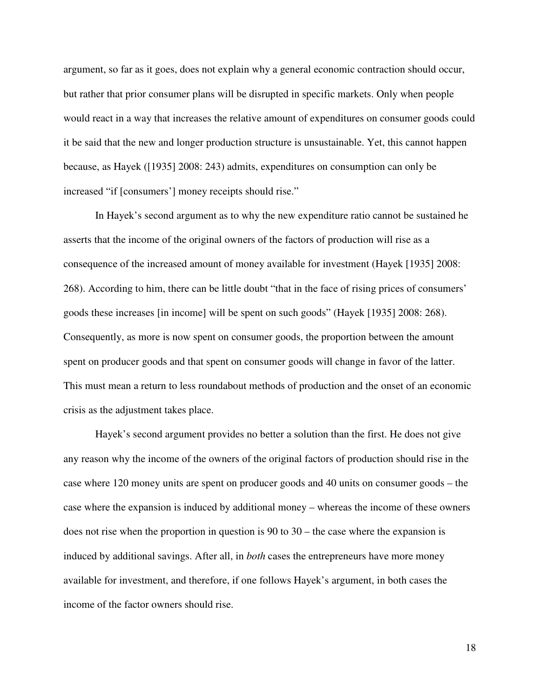argument, so far as it goes, does not explain why a general economic contraction should occur, but rather that prior consumer plans will be disrupted in specific markets. Only when people would react in a way that increases the relative amount of expenditures on consumer goods could it be said that the new and longer production structure is unsustainable. Yet, this cannot happen because, as Hayek ([1935] 2008: 243) admits, expenditures on consumption can only be increased "if [consumers'] money receipts should rise."

In Hayek's second argument as to why the new expenditure ratio cannot be sustained he asserts that the income of the original owners of the factors of production will rise as a consequence of the increased amount of money available for investment (Hayek [1935] 2008: 268). According to him, there can be little doubt "that in the face of rising prices of consumers' goods these increases [in income] will be spent on such goods" (Hayek [1935] 2008: 268). Consequently, as more is now spent on consumer goods, the proportion between the amount spent on producer goods and that spent on consumer goods will change in favor of the latter. This must mean a return to less roundabout methods of production and the onset of an economic crisis as the adjustment takes place.

Hayek's second argument provides no better a solution than the first. He does not give any reason why the income of the owners of the original factors of production should rise in the case where 120 money units are spent on producer goods and 40 units on consumer goods – the case where the expansion is induced by additional money – whereas the income of these owners does not rise when the proportion in question is 90 to 30 – the case where the expansion is induced by additional savings. After all, in *both* cases the entrepreneurs have more money available for investment, and therefore, if one follows Hayek's argument, in both cases the income of the factor owners should rise.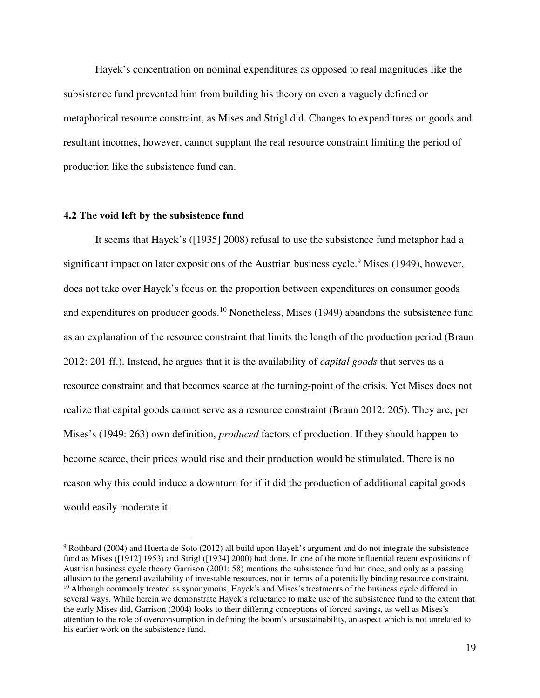Hayek's concentration on nominal expenditures as opposed to real magnitudes like the subsistence fund prevented him from building his theory on even a vaguely defined or metaphorical resource constraint, as Mises and Strigl did. Changes to expenditures on goods and resultant incomes, however, cannot supplant the real resource constraint limiting the period of production like the subsistence fund can.

#### **4.2 The void left by the subsistence fund**

 $\overline{a}$ 

It seems that Hayek's ([1935] 2008) refusal to use the subsistence fund metaphor had a significant impact on later expositions of the Austrian business cycle.<sup>9</sup> Mises (1949), however, does not take over Hayek's focus on the proportion between expenditures on consumer goods and expenditures on producer goods.<sup>10</sup> Nonetheless, Mises (1949) abandons the subsistence fund as an explanation of the resource constraint that limits the length of the production period (Braun 2012: 201 ff.). Instead, he argues that it is the availability of *capital goods* that serves as a resource constraint and that becomes scarce at the turning-point of the crisis. Yet Mises does not realize that capital goods cannot serve as a resource constraint (Braun 2012: 205). They are, per Mises's (1949: 263) own definition, *produced* factors of production. If they should happen to become scarce, their prices would rise and their production would be stimulated. There is no reason why this could induce a downturn for if it did the production of additional capital goods would easily moderate it.

 $9$  Rothbard (2004) and Huerta de Soto (2012) all build upon Hayek's argument and do not integrate the subsistence fund as Mises ([1912] 1953) and Strigl ([1934] 2000) had done. In one of the more influential recent expositions of Austrian business cycle theory Garrison (2001: 58) mentions the subsistence fund but once, and only as a passing allusion to the general availability of investable resources, not in terms of a potentially binding resource constraint.  $10$  Although commonly treated as synonymous, Hayek's and Mises's treatments of the business cycle differed in several ways. While herein we demonstrate Hayek's reluctance to make use of the subsistence fund to the extent that the early Mises did, Garrison (2004) looks to their differing conceptions of forced savings, as well as Mises's attention to the role of overconsumption in defining the boom's unsustainability, an aspect which is not unrelated to his earlier work on the subsistence fund.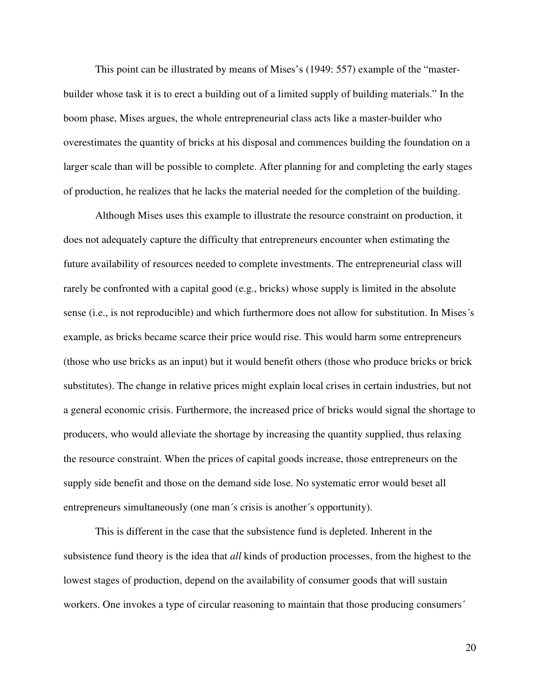This point can be illustrated by means of Mises's (1949: 557) example of the "masterbuilder whose task it is to erect a building out of a limited supply of building materials." In the boom phase, Mises argues, the whole entrepreneurial class acts like a master-builder who overestimates the quantity of bricks at his disposal and commences building the foundation on a larger scale than will be possible to complete. After planning for and completing the early stages of production, he realizes that he lacks the material needed for the completion of the building.

Although Mises uses this example to illustrate the resource constraint on production, it does not adequately capture the difficulty that entrepreneurs encounter when estimating the future availability of resources needed to complete investments. The entrepreneurial class will rarely be confronted with a capital good (e.g., bricks) whose supply is limited in the absolute sense (i.e., is not reproducible) and which furthermore does not allow for substitution. In Mises's example, as bricks became scarce their price would rise. This would harm some entrepreneurs (those who use bricks as an input) but it would benefit others (those who produce bricks or brick substitutes). The change in relative prices might explain local crises in certain industries, but not a general economic crisis. Furthermore, the increased price of bricks would signal the shortage to producers, who would alleviate the shortage by increasing the quantity supplied, thus relaxing the resource constraint. When the prices of capital goods increase, those entrepreneurs on the supply side benefit and those on the demand side lose. No systematic error would beset all entrepreneurs simultaneously (one man´s crisis is another´s opportunity).

This is different in the case that the subsistence fund is depleted. Inherent in the subsistence fund theory is the idea that *all* kinds of production processes, from the highest to the lowest stages of production, depend on the availability of consumer goods that will sustain workers. One invokes a type of circular reasoning to maintain that those producing consumers´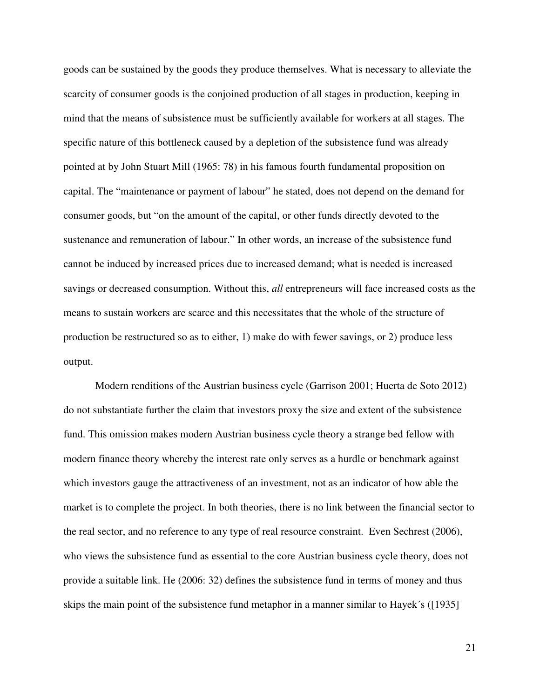goods can be sustained by the goods they produce themselves. What is necessary to alleviate the scarcity of consumer goods is the conjoined production of all stages in production, keeping in mind that the means of subsistence must be sufficiently available for workers at all stages. The specific nature of this bottleneck caused by a depletion of the subsistence fund was already pointed at by John Stuart Mill (1965: 78) in his famous fourth fundamental proposition on capital. The "maintenance or payment of labour" he stated, does not depend on the demand for consumer goods, but "on the amount of the capital, or other funds directly devoted to the sustenance and remuneration of labour." In other words, an increase of the subsistence fund cannot be induced by increased prices due to increased demand; what is needed is increased savings or decreased consumption. Without this, *all* entrepreneurs will face increased costs as the means to sustain workers are scarce and this necessitates that the whole of the structure of production be restructured so as to either, 1) make do with fewer savings, or 2) produce less output.

Modern renditions of the Austrian business cycle (Garrison 2001; Huerta de Soto 2012) do not substantiate further the claim that investors proxy the size and extent of the subsistence fund. This omission makes modern Austrian business cycle theory a strange bed fellow with modern finance theory whereby the interest rate only serves as a hurdle or benchmark against which investors gauge the attractiveness of an investment, not as an indicator of how able the market is to complete the project. In both theories, there is no link between the financial sector to the real sector, and no reference to any type of real resource constraint. Even Sechrest (2006), who views the subsistence fund as essential to the core Austrian business cycle theory, does not provide a suitable link. He (2006: 32) defines the subsistence fund in terms of money and thus skips the main point of the subsistence fund metaphor in a manner similar to Hayek´s ([1935]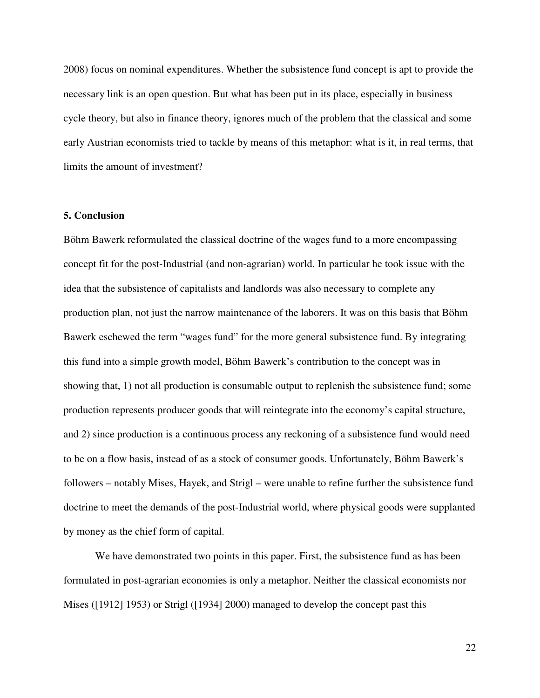2008) focus on nominal expenditures. Whether the subsistence fund concept is apt to provide the necessary link is an open question. But what has been put in its place, especially in business cycle theory, but also in finance theory, ignores much of the problem that the classical and some early Austrian economists tried to tackle by means of this metaphor: what is it, in real terms, that limits the amount of investment?

#### **5. Conclusion**

Böhm Bawerk reformulated the classical doctrine of the wages fund to a more encompassing concept fit for the post-Industrial (and non-agrarian) world. In particular he took issue with the idea that the subsistence of capitalists and landlords was also necessary to complete any production plan, not just the narrow maintenance of the laborers. It was on this basis that Böhm Bawerk eschewed the term "wages fund" for the more general subsistence fund. By integrating this fund into a simple growth model, Böhm Bawerk's contribution to the concept was in showing that, 1) not all production is consumable output to replenish the subsistence fund; some production represents producer goods that will reintegrate into the economy's capital structure, and 2) since production is a continuous process any reckoning of a subsistence fund would need to be on a flow basis, instead of as a stock of consumer goods. Unfortunately, Böhm Bawerk's followers – notably Mises, Hayek, and Strigl – were unable to refine further the subsistence fund doctrine to meet the demands of the post-Industrial world, where physical goods were supplanted by money as the chief form of capital.

We have demonstrated two points in this paper. First, the subsistence fund as has been formulated in post-agrarian economies is only a metaphor. Neither the classical economists nor Mises ([1912] 1953) or Strigl ([1934] 2000) managed to develop the concept past this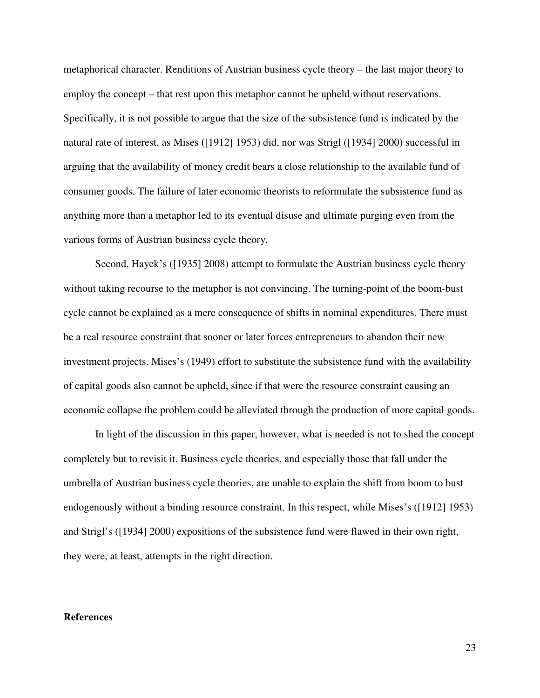metaphorical character. Renditions of Austrian business cycle theory – the last major theory to employ the concept – that rest upon this metaphor cannot be upheld without reservations. Specifically, it is not possible to argue that the size of the subsistence fund is indicated by the natural rate of interest, as Mises ([1912] 1953) did, nor was Strigl ([1934] 2000) successful in arguing that the availability of money credit bears a close relationship to the available fund of consumer goods. The failure of later economic theorists to reformulate the subsistence fund as anything more than a metaphor led to its eventual disuse and ultimate purging even from the various forms of Austrian business cycle theory.

Second, Hayek's ([1935] 2008) attempt to formulate the Austrian business cycle theory without taking recourse to the metaphor is not convincing. The turning-point of the boom-bust cycle cannot be explained as a mere consequence of shifts in nominal expenditures. There must be a real resource constraint that sooner or later forces entrepreneurs to abandon their new investment projects. Mises's (1949) effort to substitute the subsistence fund with the availability of capital goods also cannot be upheld, since if that were the resource constraint causing an economic collapse the problem could be alleviated through the production of more capital goods.

In light of the discussion in this paper, however, what is needed is not to shed the concept completely but to revisit it. Business cycle theories, and especially those that fall under the umbrella of Austrian business cycle theories, are unable to explain the shift from boom to bust endogenously without a binding resource constraint. In this respect, while Mises's ([1912] 1953) and Strigl's ([1934] 2000) expositions of the subsistence fund were flawed in their own right, they were, at least, attempts in the right direction.

#### **References**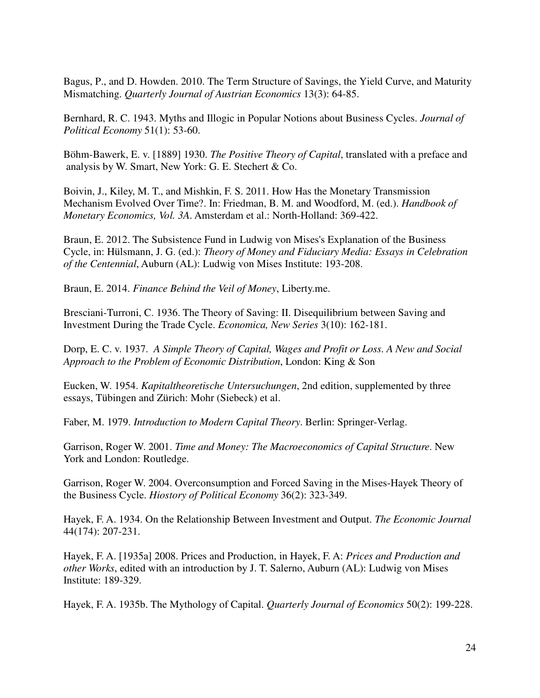Bagus, P., and D. Howden. 2010. The Term Structure of Savings, the Yield Curve, and Maturity Mismatching. *Quarterly Journal of Austrian Economics* 13(3): 64-85.

Bernhard, R. C. 1943. Myths and Illogic in Popular Notions about Business Cycles. *Journal of Political Economy* 51(1): 53-60.

Böhm-Bawerk, E. v. [1889] 1930. *The Positive Theory of Capital*, translated with a preface and analysis by W. Smart, New York: G. E. Stechert & Co.

Boivin, J., Kiley, M. T., and Mishkin, F. S. 2011. How Has the Monetary Transmission Mechanism Evolved Over Time?. In: Friedman, B. M. and Woodford, M. (ed.). *Handbook of Monetary Economics, Vol. 3A*. Amsterdam et al.: North-Holland: 369-422.

Braun, E. 2012. The Subsistence Fund in Ludwig von Mises's Explanation of the Business Cycle, in: Hülsmann, J. G. (ed.): *Theory of Money and Fiduciary Media: Essays in Celebration of the Centennial*, Auburn (AL): Ludwig von Mises Institute: 193-208.

Braun, E. 2014. *Finance Behind the Veil of Money*, Liberty.me.

Bresciani-Turroni, C. 1936. The Theory of Saving: II. Disequilibrium between Saving and Investment During the Trade Cycle. *Economica, New Series* 3(10): 162-181.

Dorp, E. C. v. 1937. *A Simple Theory of Capital, Wages and Profit or Loss. A New and Social Approach to the Problem of Economic Distribution*, London: King & Son

Eucken, W. 1954. *Kapitaltheoretische Untersuchungen*, 2nd edition, supplemented by three essays, Tübingen and Zürich: Mohr (Siebeck) et al.

Faber, M. 1979. *Introduction to Modern Capital Theory*. Berlin: Springer-Verlag.

Garrison, Roger W. 2001. *Time and Money: The Macroeconomics of Capital Structure*. New York and London: Routledge.

Garrison, Roger W. 2004. Overconsumption and Forced Saving in the Mises-Hayek Theory of the Business Cycle. *Hiostory of Political Economy* 36(2): 323-349.

Hayek, F. A. 1934. On the Relationship Between Investment and Output. *The Economic Journal* 44(174): 207-231.

Hayek, F. A. [1935a] 2008. Prices and Production, in Hayek, F. A: *Prices and Production and other Works*, edited with an introduction by J. T. Salerno, Auburn (AL): Ludwig von Mises Institute: 189-329.

Hayek, F. A. 1935b. The Mythology of Capital. *Quarterly Journal of Economics* 50(2): 199-228.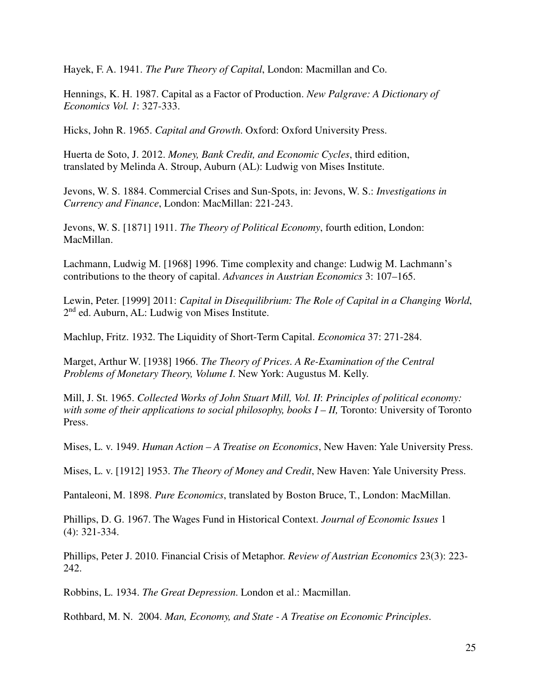Hayek, F. A. 1941. *The Pure Theory of Capital*, London: Macmillan and Co.

Hennings, K. H. 1987. Capital as a Factor of Production. *New Palgrave: A Dictionary of Economics Vol. 1*: 327-333.

Hicks, John R. 1965. *Capital and Growth*. Oxford: Oxford University Press.

Huerta de Soto, J. 2012. *Money, Bank Credit, and Economic Cycles*, third edition, translated by Melinda A. Stroup, Auburn (AL): Ludwig von Mises Institute.

Jevons, W. S. 1884. Commercial Crises and Sun-Spots, in: Jevons, W. S.: *Investigations in Currency and Finance*, London: MacMillan: 221-243.

Jevons, W. S. [1871] 1911. *The Theory of Political Economy*, fourth edition, London: MacMillan.

Lachmann, Ludwig M. [1968] 1996. Time complexity and change: Ludwig M. Lachmann's contributions to the theory of capital. *Advances in Austrian Economics* 3: 107–165.

Lewin, Peter. [1999] 2011: *Capital in Disequilibrium: The Role of Capital in a Changing World*, 2<sup>nd</sup> ed. Auburn, AL: Ludwig von Mises Institute.

Machlup, Fritz. 1932. The Liquidity of Short-Term Capital. *Economica* 37: 271-284.

Marget, Arthur W. [1938] 1966. *The Theory of Prices. A Re-Examination of the Central Problems of Monetary Theory, Volume I*. New York: Augustus M. Kelly.

Mill, J. St. 1965. *Collected Works of John Stuart Mill, Vol. II*: *Principles of political economy: with some of their applications to social philosophy, books I – II, Toronto: University of Toronto* Press.

Mises, L. v. 1949. *Human Action – A Treatise on Economics*, New Haven: Yale University Press.

Mises, L. v. [1912] 1953. *The Theory of Money and Credit*, New Haven: Yale University Press.

Pantaleoni, M. 1898. *Pure Economics*, translated by Boston Bruce, T., London: MacMillan.

Phillips, D. G. 1967. The Wages Fund in Historical Context. *Journal of Economic Issues* 1 (4): 321-334.

Phillips, Peter J. 2010. Financial Crisis of Metaphor. *Review of Austrian Economics* 23(3): 223- 242.

Robbins, L. 1934. *The Great Depression*. London et al.: Macmillan.

Rothbard, M. N. 2004. *Man, Economy, and State - A Treatise on Economic Principles*.